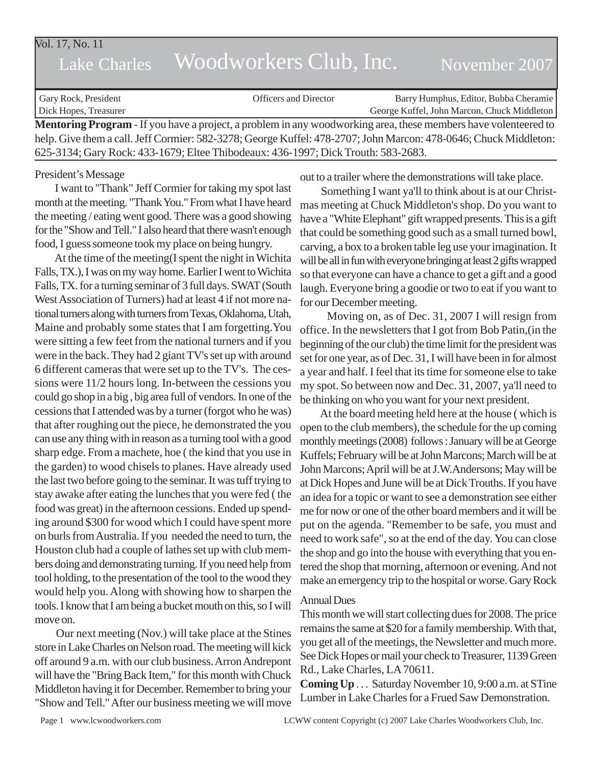| Vol. 17, No. 11<br>Lake Charles                                                                                        | Woodworkers Club, Inc.       | November 2007                               |
|------------------------------------------------------------------------------------------------------------------------|------------------------------|---------------------------------------------|
| Gary Rock, President                                                                                                   | <b>Officers and Director</b> | Barry Humphus, Editor, Bubba Cheramie       |
| Dick Hopes, Treasurer                                                                                                  |                              | George Kuffel, John Marcon, Chuck Middleton |
| <b>Mentoring Program</b> - If you have a project, a problem in any woodworking area, these members have volenteered to |                              |                                             |
| help. Give them a call. Jeff Cormier: 582-3278; George Kuffel: 478-2707; John Marcon: 478-0646; Chuck Middleton:       |                              |                                             |

625-3134; Gary Rock: 433-1679; Eltee Thibodeaux: 436-1997; Dick Trouth: 583-2683.

#### President's Message

 I want to "Thank" Jeff Cormier for taking my spot last month at the meeting. "Thank You." From what I have heard the meeting / eating went good. There was a good showing for the "Show and Tell." I also heard that there wasn't enough food, I guess someone took my place on being hungry.

 At the time of the meeting(I spent the night in Wichita Falls, TX.), I was on my way home. Earlier I went to Wichita Falls, TX. for a turning seminar of 3 full days. SWAT (South West Association of Turners) had at least 4 if not more national turners along with turners from Texas, Oklahoma, Utah, Maine and probably some states that I am forgetting.You were sitting a few feet from the national turners and if you were in the back. They had 2 giant TV's set up with around 6 different cameras that were set up to the TV's. The cessions were 11/2 hours long. In-between the cessions you could go shop in a big , big area full of vendors. In one of the cessions that I attended was by a turner (forgot who he was) that after roughing out the piece, he demonstrated the you can use any thing with in reason as a turning tool with a good sharp edge. From a machete, hoe ( the kind that you use in the garden) to wood chisels to planes. Have already used the last two before going to the seminar. It was tuff trying to stay awake after eating the lunches that you were fed ( the food was great) in the afternoon cessions. Ended up spending around \$300 for wood which I could have spent more on burls from Australia. If you needed the need to turn, the Houston club had a couple of lathes set up with club members doing and demonstrating turning. If you need help from tool holding, to the presentation of the tool to the wood they would help you. Along with showing how to sharpen the tools. I know that I am being a bucket mouth on this, so I will move on.

 Our next meeting (Nov.) will take place at the Stines store in Lake Charles on Nelson road. The meeting will kick off around 9 a.m. with our club business. Arron Andrepont will have the "Bring Back Item," for this month with Chuck Middleton having it for December. Remember to bring your "Show and Tell." After our business meeting we will move out to a trailer where the demonstrations will take place.

 Something I want ya'll to think about is at our Christmas meeting at Chuck Middleton's shop. Do you want to have a "White Elephant" gift wrapped presents. This is a gift that could be something good such as a small turned bowl, carving, a box to a broken table leg use your imagination. It will be all in fun with everyone bringing at least 2 gifts wrapped so that everyone can have a chance to get a gift and a good laugh. Everyone bring a goodie or two to eat if you want to for our December meeting.

 Moving on, as of Dec. 31, 2007 I will resign from office. In the newsletters that I got from Bob Patin,(in the beginning of the our club) the time limit for the president was set for one year, as of Dec. 31, I will have been in for almost a year and half. I feel that its time for someone else to take my spot. So between now and Dec. 31, 2007, ya'll need to be thinking on who you want for your next president.

 At the board meeting held here at the house ( which is open to the club members), the schedule for the up coming monthly meetings (2008) follows : January will be at George Kuffels; February will be at John Marcons; March will be at John Marcons; April will be at J.W.Andersons; May will be at Dick Hopes and June will be at Dick Trouths. If you have an idea for a topic or want to see a demonstration see either me for now or one of the other board members and it will be put on the agenda. "Remember to be safe, you must and need to work safe", so at the end of the day. You can close the shop and go into the house with everything that you entered the shop that morning, afternoon or evening. And not make an emergency trip to the hospital or worse. Gary Rock

#### Annual Dues

This month we will start collecting dues for 2008. The price remains the same at \$20 for a family membership. With that, you get all of the meetings, the Newsletter and much more. See Dick Hopes or mail your check to Treasurer, 1139 Green Rd., Lake Charles, LA 70611.

**Coming Up** . . . Saturday November 10, 9:00 a.m. at STine Lumber in Lake Charles for a Frued Saw Demonstration.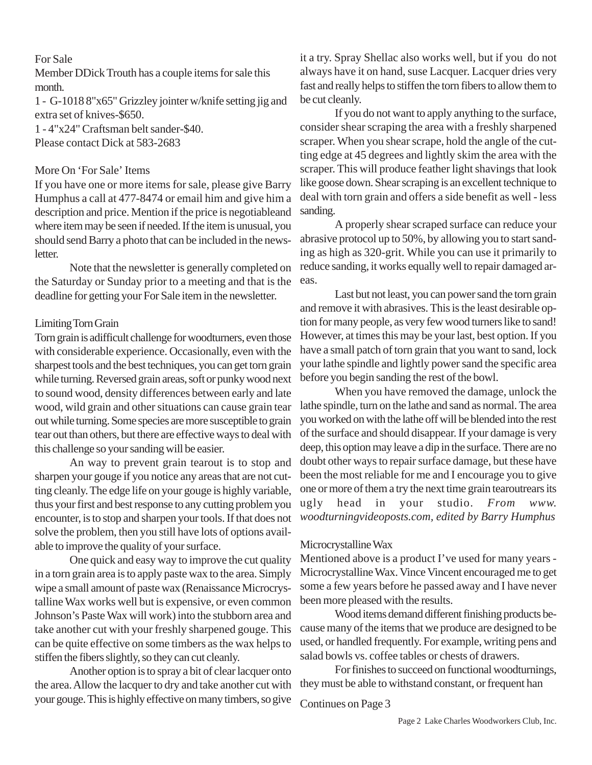# For Sale

Member DDick Trouth has a couple items for sale this month.

1 - G-1018 8"x65" Grizzley jointer w/knife setting jig and extra set of knives-\$650.

1 - 4"x24" Craftsman belt sander-\$40. Please contact Dick at 583-2683

## More On 'For Sale' Items

If you have one or more items for sale, please give Barry Humphus a call at 477-8474 or email him and give him a description and price. Mention if the price is negotiableand where item may be seen if needed. If the item is unusual, you should send Barry a photo that can be included in the newsletter.

Note that the newsletter is generally completed on the Saturday or Sunday prior to a meeting and that is the deadline for getting your For Sale item in the newsletter.

## Limiting Torn Grain

Torn grain is adifficult challenge for woodturners, even those with considerable experience. Occasionally, even with the sharpest tools and the best techniques, you can get torn grain while turning. Reversed grain areas, soft or punky wood next to sound wood, density differences between early and late wood, wild grain and other situations can cause grain tear out while turning. Some species are more susceptible to grain tear out than others, but there are effective ways to deal with this challenge so your sanding will be easier.

An way to prevent grain tearout is to stop and sharpen your gouge if you notice any areas that are not cutting cleanly. The edge life on your gouge is highly variable, thus your first and best response to any cutting problem you encounter, is to stop and sharpen your tools. If that does not solve the problem, then you still have lots of options available to improve the quality of your surface.

One quick and easy way to improve the cut quality in a torn grain area is to apply paste wax to the area. Simply wipe a small amount of paste wax (Renaissance Microcrystalline Wax works well but is expensive, or even common Johnson's Paste Wax will work) into the stubborn area and take another cut with your freshly sharpened gouge. This can be quite effective on some timbers as the wax helps to stiffen the fibers slightly, so they can cut cleanly.

Another option is to spray a bit of clear lacquer onto the area. Allow the lacquer to dry and take another cut with your gouge. This is highly effective on many timbers, so give

it a try. Spray Shellac also works well, but if you do not always have it on hand, suse Lacquer. Lacquer dries very fast and really helps to stiffen the torn fibers to allow them to be cut cleanly.

If you do not want to apply anything to the surface, consider shear scraping the area with a freshly sharpened scraper. When you shear scrape, hold the angle of the cutting edge at 45 degrees and lightly skim the area with the scraper. This will produce feather light shavings that look like goose down. Shear scraping is an excellent technique to deal with torn grain and offers a side benefit as well - less sanding.

A properly shear scraped surface can reduce your abrasive protocol up to 50%, by allowing you to start sanding as high as 320-grit. While you can use it primarily to reduce sanding, it works equally well to repair damaged areas.

Last but not least, you can power sand the torn grain and remove it with abrasives. This is the least desirable option for many people, as very few wood turners like to sand! However, at times this may be your last, best option. If you have a small patch of torn grain that you want to sand, lock your lathe spindle and lightly power sand the specific area before you begin sanding the rest of the bowl.

When you have removed the damage, unlock the lathe spindle, turn on the lathe and sand as normal. The area you worked on with the lathe off will be blended into the rest of the surface and should disappear. If your damage is very deep, this option may leave a dip in the surface. There are no doubt other ways to repair surface damage, but these have been the most reliable for me and I encourage you to give one or more of them a try the next time grain tearoutrears its ugly head in your studio. *From www. woodturningvideoposts.com, edited by Barry Humphus*

## Microcrystalline Wax

Mentioned above is a product I've used for many years - Microcrystalline Wax. Vince Vincent encouraged me to get some a few years before he passed away and I have never been more pleased with the results.

Wood items demand different finishing products because many of the items that we produce are designed to be used, or handled frequently. For example, writing pens and salad bowls vs. coffee tables or chests of drawers.

For finishes to succeed on functional woodturnings, they must be able to withstand constant, or frequent han

Continues on Page 3